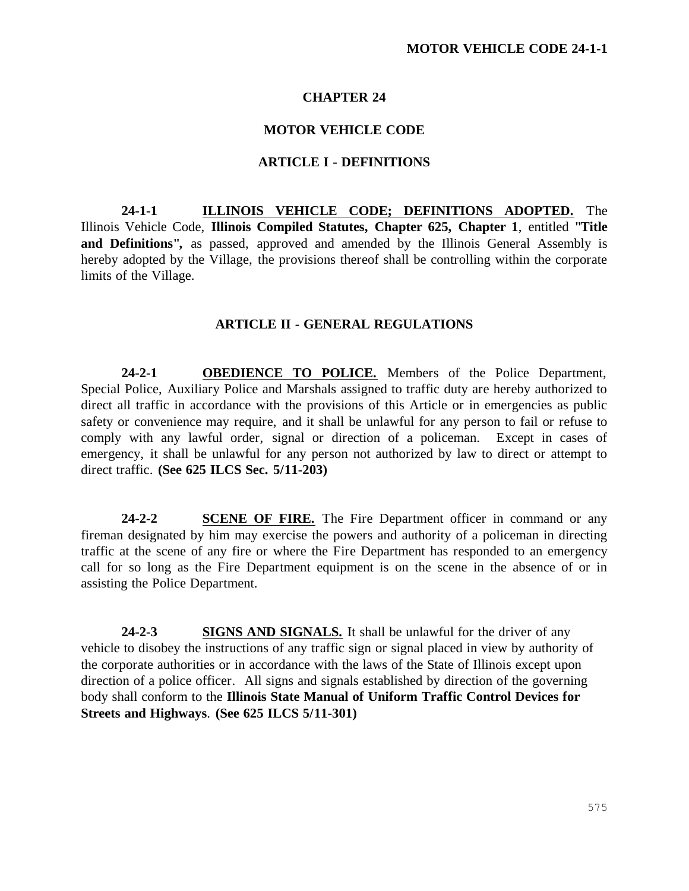# **CHAPTER 24**

## **MOTOR VEHICLE CODE**

### **ARTICLE I - DEFINITIONS**

**24-1-1 ILLINOIS VEHICLE CODE; DEFINITIONS ADOPTED.** The Illinois Vehicle Code, **Illinois Compiled Statutes, Chapter 625, Chapter 1**, entitled **"Title**  and Definitions", as passed, approved and amended by the Illinois General Assembly is hereby adopted by the Village, the provisions thereof shall be controlling within the corporate limits of the Village.

### **ARTICLE II - GENERAL REGULATIONS**

**24-2-1 OBEDIENCE TO POLICE.** Members of the Police Department, Special Police, Auxiliary Police and Marshals assigned to traffic duty are hereby authorized to direct all traffic in accordance with the provisions of this Article or in emergencies as public safety or convenience may require, and it shall be unlawful for any person to fail or refuse to comply with any lawful order, signal or direction of a policeman. Except in cases of emergency, it shall be unlawful for any person not authorized by law to direct or attempt to direct traffic. **(See 625 ILCS Sec. 5/11-203)**

**24-2-2 SCENE OF FIRE.** The Fire Department officer in command or any fireman designated by him may exercise the powers and authority of a policeman in directing traffic at the scene of any fire or where the Fire Department has responded to an emergency call for so long as the Fire Department equipment is on the scene in the absence of or in assisting the Police Department.

24-2-3 **SIGNS AND SIGNALS.** It shall be unlawful for the driver of any vehicle to disobey the instructions of any traffic sign or signal placed in view by authority of the corporate authorities or in accordance with the laws of the State of Illinois except upon direction of a police officer. All signs and signals established by direction of the governing body shall conform to the **Illinois State Manual of Uniform Traffic Control Devices for Streets and Highways**. **(See 625 ILCS 5/11-301)**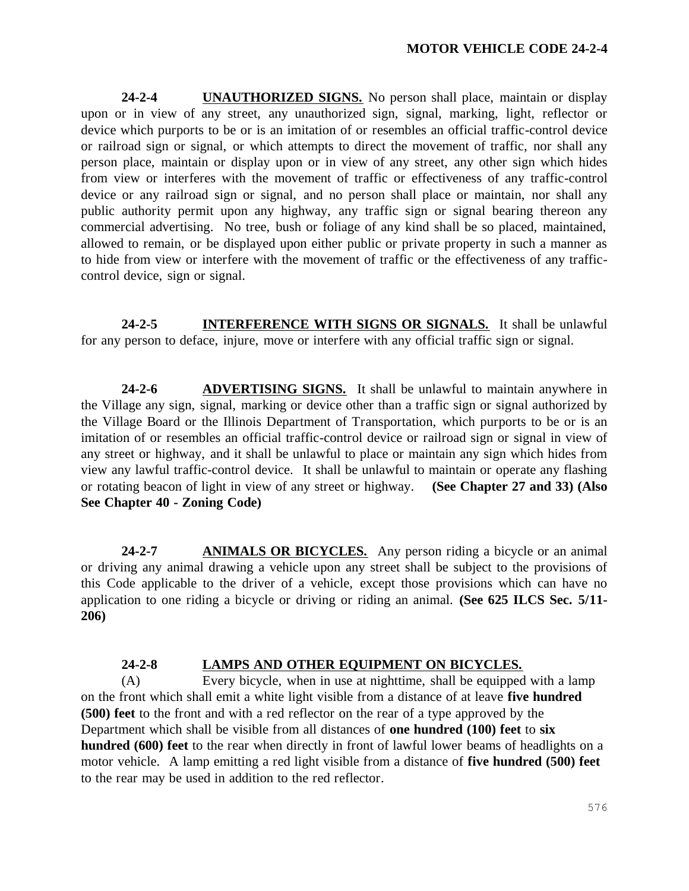**24-2-4 UNAUTHORIZED SIGNS.** No person shall place, maintain or display upon or in view of any street, any unauthorized sign, signal, marking, light, reflector or device which purports to be or is an imitation of or resembles an official traffic-control device or railroad sign or signal, or which attempts to direct the movement of traffic, nor shall any person place, maintain or display upon or in view of any street, any other sign which hides from view or interferes with the movement of traffic or effectiveness of any traffic-control device or any railroad sign or signal, and no person shall place or maintain, nor shall any public authority permit upon any highway, any traffic sign or signal bearing thereon any commercial advertising. No tree, bush or foliage of any kind shall be so placed, maintained, allowed to remain, or be displayed upon either public or private property in such a manner as to hide from view or interfere with the movement of traffic or the effectiveness of any trafficcontrol device, sign or signal.

**24-2-5 INTERFERENCE WITH SIGNS OR SIGNALS.** It shall be unlawful for any person to deface, injure, move or interfere with any official traffic sign or signal.

**24-2-6 ADVERTISING SIGNS.** It shall be unlawful to maintain anywhere in the Village any sign, signal, marking or device other than a traffic sign or signal authorized by the Village Board or the Illinois Department of Transportation, which purports to be or is an imitation of or resembles an official traffic-control device or railroad sign or signal in view of any street or highway, and it shall be unlawful to place or maintain any sign which hides from view any lawful traffic-control device. It shall be unlawful to maintain or operate any flashing or rotating beacon of light in view of any street or highway. **(See Chapter 27 and 33) (Also See Chapter 40 - Zoning Code)**

**24-2-7 ANIMALS OR BICYCLES.** Any person riding a bicycle or an animal or driving any animal drawing a vehicle upon any street shall be subject to the provisions of this Code applicable to the driver of a vehicle, except those provisions which can have no application to one riding a bicycle or driving or riding an animal. **(See 625 ILCS Sec. 5/11- 206)**

# **24-2-8 LAMPS AND OTHER EQUIPMENT ON BICYCLES.**

(A) Every bicycle, when in use at nighttime, shall be equipped with a lamp on the front which shall emit a white light visible from a distance of at leave **five hundred (500) feet** to the front and with a red reflector on the rear of a type approved by the Department which shall be visible from all distances of **one hundred (100) feet** to **six hundred (600) feet** to the rear when directly in front of lawful lower beams of headlights on a motor vehicle. A lamp emitting a red light visible from a distance of **five hundred (500) feet** to the rear may be used in addition to the red reflector.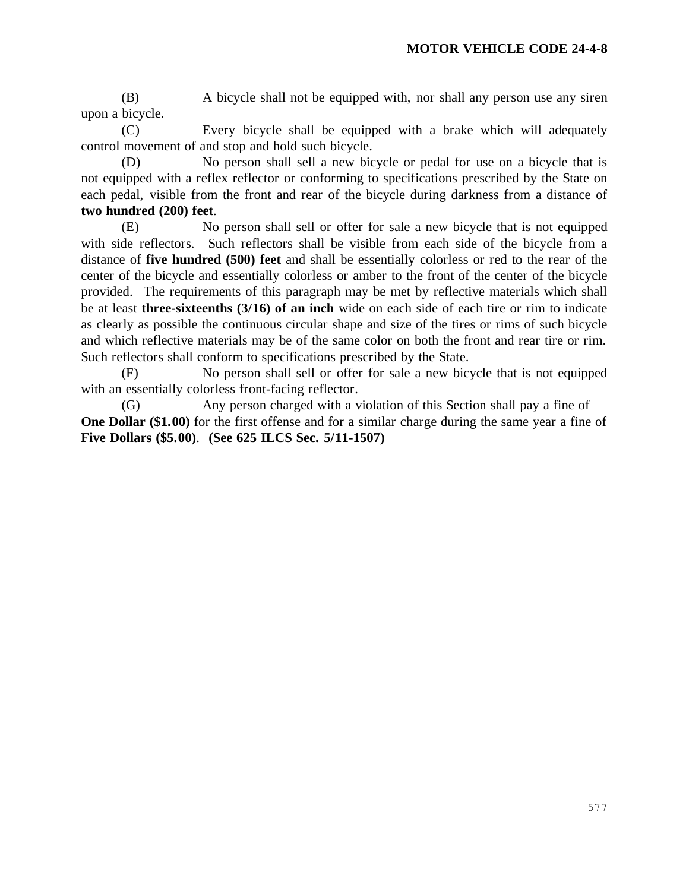(B) A bicycle shall not be equipped with, nor shall any person use any siren upon a bicycle.

(C) Every bicycle shall be equipped with a brake which will adequately control movement of and stop and hold such bicycle.

(D) No person shall sell a new bicycle or pedal for use on a bicycle that is not equipped with a reflex reflector or conforming to specifications prescribed by the State on each pedal, visible from the front and rear of the bicycle during darkness from a distance of **two hundred (200) feet**.

(E) No person shall sell or offer for sale a new bicycle that is not equipped with side reflectors. Such reflectors shall be visible from each side of the bicycle from a distance of **five hundred (500) feet** and shall be essentially colorless or red to the rear of the center of the bicycle and essentially colorless or amber to the front of the center of the bicycle provided. The requirements of this paragraph may be met by reflective materials which shall be at least **three-sixteenths (3/16) of an inch** wide on each side of each tire or rim to indicate as clearly as possible the continuous circular shape and size of the tires or rims of such bicycle and which reflective materials may be of the same color on both the front and rear tire or rim. Such reflectors shall conform to specifications prescribed by the State.

(F) No person shall sell or offer for sale a new bicycle that is not equipped with an essentially colorless front-facing reflector.

(G) Any person charged with a violation of this Section shall pay a fine of **One Dollar (\$1.00)** for the first offense and for a similar charge during the same year a fine of **Five Dollars (\$5.00)**. **(See 625 ILCS Sec. 5/11-1507)**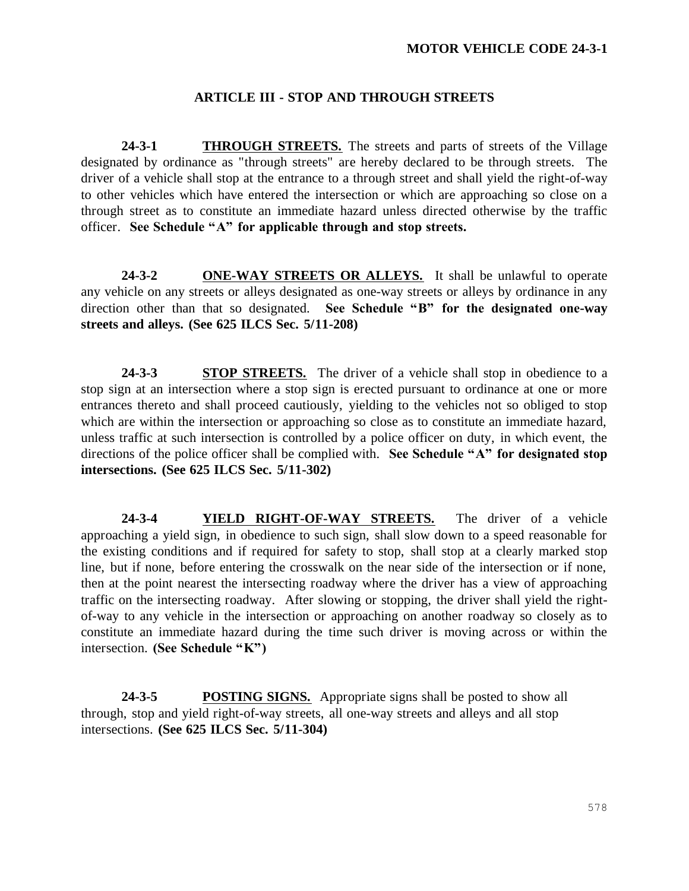### **ARTICLE III - STOP AND THROUGH STREETS**

**24-3-1 THROUGH STREETS.** The streets and parts of streets of the Village designated by ordinance as "through streets" are hereby declared to be through streets. The driver of a vehicle shall stop at the entrance to a through street and shall yield the right-of-way to other vehicles which have entered the intersection or which are approaching so close on a through street as to constitute an immediate hazard unless directed otherwise by the traffic officer. **See Schedule "A" for applicable through and stop streets.**

24-3-2 **ONE-WAY STREETS OR ALLEYS.** It shall be unlawful to operate any vehicle on any streets or alleys designated as one-way streets or alleys by ordinance in any direction other than that so designated. **See Schedule "B" for the designated one-way streets and alleys. (See 625 ILCS Sec. 5/11-208)**

**24-3-3 STOP STREETS.** The driver of a vehicle shall stop in obedience to a stop sign at an intersection where a stop sign is erected pursuant to ordinance at one or more entrances thereto and shall proceed cautiously, yielding to the vehicles not so obliged to stop which are within the intersection or approaching so close as to constitute an immediate hazard, unless traffic at such intersection is controlled by a police officer on duty, in which event, the directions of the police officer shall be complied with. **See Schedule "A" for designated stop intersections. (See 625 ILCS Sec. 5/11-302)**

**24-3-4 YIELD RIGHT-OF-WAY STREETS.** The driver of a vehicle approaching a yield sign, in obedience to such sign, shall slow down to a speed reasonable for the existing conditions and if required for safety to stop, shall stop at a clearly marked stop line, but if none, before entering the crosswalk on the near side of the intersection or if none, then at the point nearest the intersecting roadway where the driver has a view of approaching traffic on the intersecting roadway. After slowing or stopping, the driver shall yield the rightof-way to any vehicle in the intersection or approaching on another roadway so closely as to constitute an immediate hazard during the time such driver is moving across or within the intersection. **(See Schedule "K")**

**24-3-5 POSTING SIGNS.** Appropriate signs shall be posted to show all through, stop and yield right-of-way streets, all one-way streets and alleys and all stop intersections. **(See 625 ILCS Sec. 5/11-304)**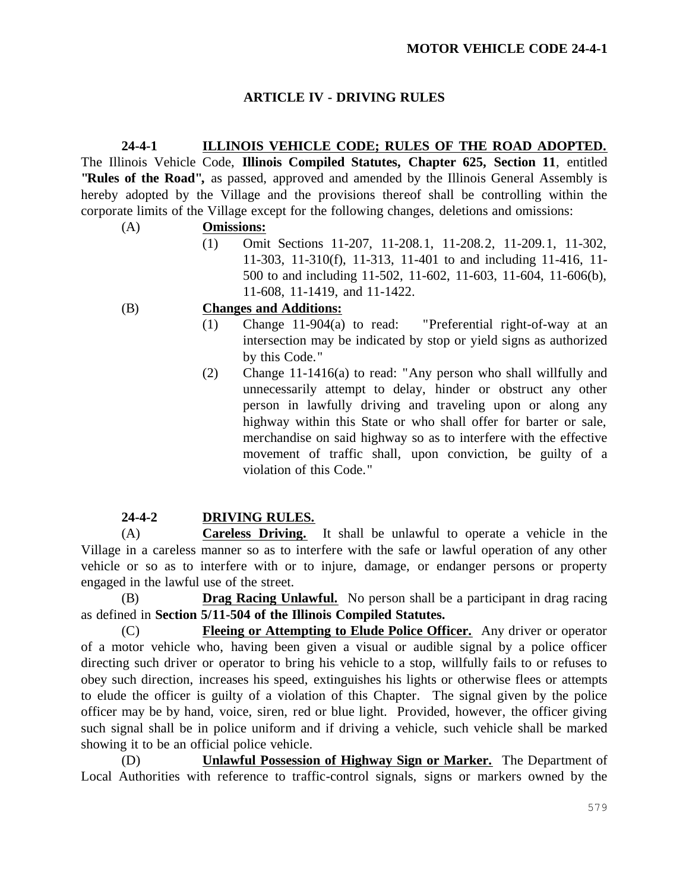# **ARTICLE IV - DRIVING RULES**

**24-4-1 ILLINOIS VEHICLE CODE; RULES OF THE ROAD ADOPTED.** The Illinois Vehicle Code, **Illinois Compiled Statutes, Chapter 625, Section 11**, entitled **"Rules of the Road",** as passed, approved and amended by the Illinois General Assembly is hereby adopted by the Village and the provisions thereof shall be controlling within the corporate limits of the Village except for the following changes, deletions and omissions:

# (A) **Omissions:**

(1) Omit Sections 11-207, 11-208.1, 11-208.2, 11-209.1, 11-302, 11-303, 11-310(f), 11-313, 11-401 to and including 11-416, 11- 500 to and including 11-502, 11-602, 11-603, 11-604, 11-606(b), 11-608, 11-1419, and 11-1422.

# (B) **Changes and Additions:**

- (1) Change 11-904(a) to read: "Preferential right-of-way at an intersection may be indicated by stop or yield signs as authorized by this Code."
- (2) Change 11-1416(a) to read: "Any person who shall willfully and unnecessarily attempt to delay, hinder or obstruct any other person in lawfully driving and traveling upon or along any highway within this State or who shall offer for barter or sale, merchandise on said highway so as to interfere with the effective movement of traffic shall, upon conviction, be guilty of a violation of this Code."

# **24-4-2 DRIVING RULES.**

(A) **Careless Driving.** It shall be unlawful to operate a vehicle in the Village in a careless manner so as to interfere with the safe or lawful operation of any other vehicle or so as to interfere with or to injure, damage, or endanger persons or property engaged in the lawful use of the street.

(B) **Drag Racing Unlawful.** No person shall be a participant in drag racing as defined in **Section 5/11-504 of the Illinois Compiled Statutes.**

(C) **Fleeing or Attempting to Elude Police Officer.** Any driver or operator of a motor vehicle who, having been given a visual or audible signal by a police officer directing such driver or operator to bring his vehicle to a stop, willfully fails to or refuses to obey such direction, increases his speed, extinguishes his lights or otherwise flees or attempts to elude the officer is guilty of a violation of this Chapter. The signal given by the police officer may be by hand, voice, siren, red or blue light. Provided, however, the officer giving such signal shall be in police uniform and if driving a vehicle, such vehicle shall be marked showing it to be an official police vehicle.

(D) **Unlawful Possession of Highway Sign or Marker.** The Department of Local Authorities with reference to traffic-control signals, signs or markers owned by the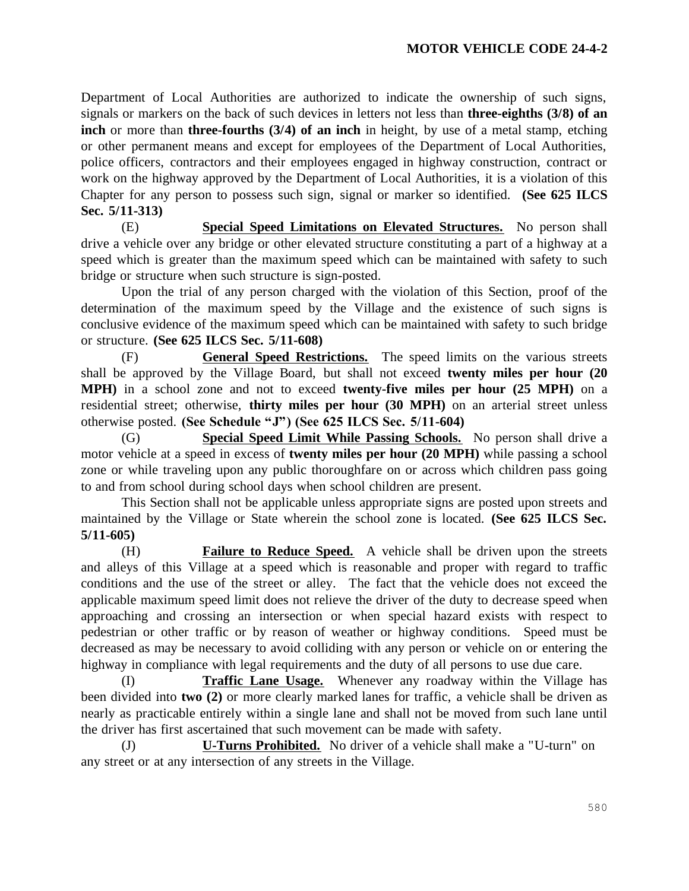Department of Local Authorities are authorized to indicate the ownership of such signs, signals or markers on the back of such devices in letters not less than **three-eighths (3/8) of an inch** or more than **three-fourths (3/4) of an inch** in height, by use of a metal stamp, etching or other permanent means and except for employees of the Department of Local Authorities, police officers, contractors and their employees engaged in highway construction, contract or work on the highway approved by the Department of Local Authorities, it is a violation of this Chapter for any person to possess such sign, signal or marker so identified. **(See 625 ILCS Sec. 5/11-313)**

(E) **Special Speed Limitations on Elevated Structures.** No person shall drive a vehicle over any bridge or other elevated structure constituting a part of a highway at a speed which is greater than the maximum speed which can be maintained with safety to such bridge or structure when such structure is sign-posted.

Upon the trial of any person charged with the violation of this Section, proof of the determination of the maximum speed by the Village and the existence of such signs is conclusive evidence of the maximum speed which can be maintained with safety to such bridge or structure. **(See 625 ILCS Sec. 5/11-608)**

(F) **General Speed Restrictions.** The speed limits on the various streets shall be approved by the Village Board, but shall not exceed **twenty miles per hour (20 MPH)** in a school zone and not to exceed **twenty-five miles per hour (25 MPH)** on a residential street; otherwise, **thirty miles per hour (30 MPH)** on an arterial street unless otherwise posted. **(See Schedule "J") (See 625 ILCS Sec. 5/11-604)**

(G) **Special Speed Limit While Passing Schools.** No person shall drive a motor vehicle at a speed in excess of **twenty miles per hour (20 MPH)** while passing a school zone or while traveling upon any public thoroughfare on or across which children pass going to and from school during school days when school children are present.

This Section shall not be applicable unless appropriate signs are posted upon streets and maintained by the Village or State wherein the school zone is located. **(See 625 ILCS Sec. 5/11-605)**

(H) **Failure to Reduce Speed.** A vehicle shall be driven upon the streets and alleys of this Village at a speed which is reasonable and proper with regard to traffic conditions and the use of the street or alley. The fact that the vehicle does not exceed the applicable maximum speed limit does not relieve the driver of the duty to decrease speed when approaching and crossing an intersection or when special hazard exists with respect to pedestrian or other traffic or by reason of weather or highway conditions. Speed must be decreased as may be necessary to avoid colliding with any person or vehicle on or entering the highway in compliance with legal requirements and the duty of all persons to use due care.

(I) **Traffic Lane Usage.** Whenever any roadway within the Village has been divided into **two (2)** or more clearly marked lanes for traffic, a vehicle shall be driven as nearly as practicable entirely within a single lane and shall not be moved from such lane until the driver has first ascertained that such movement can be made with safety.

(J) **U-Turns Prohibited.** No driver of a vehicle shall make a "U-turn" on any street or at any intersection of any streets in the Village.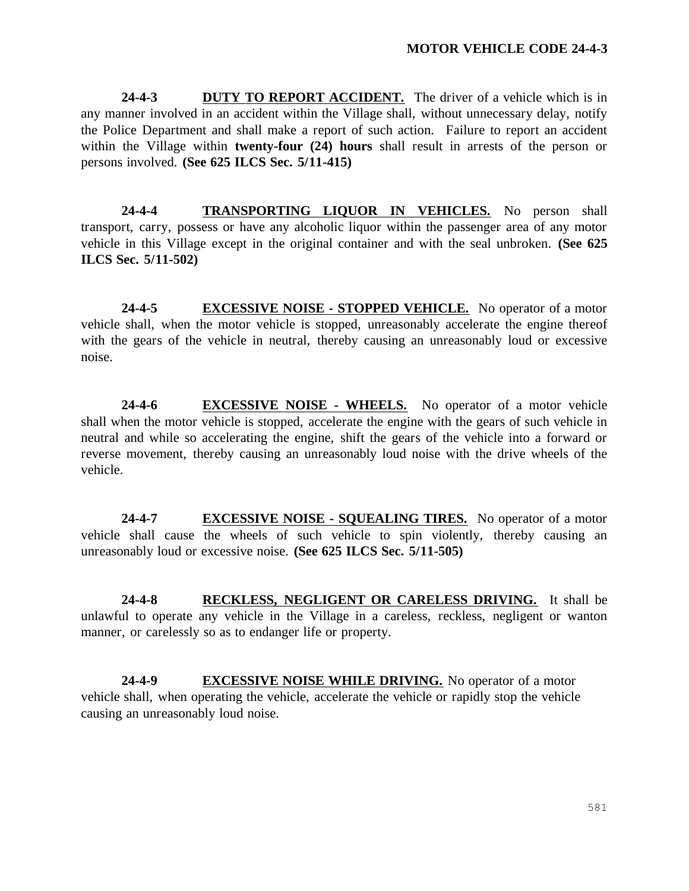**24-4-3 DUTY TO REPORT ACCIDENT.** The driver of a vehicle which is in any manner involved in an accident within the Village shall, without unnecessary delay, notify the Police Department and shall make a report of such action. Failure to report an accident within the Village within **twenty-four (24) hours** shall result in arrests of the person or persons involved. **(See 625 ILCS Sec. 5/11-415)**

**24-4-4 TRANSPORTING LIQUOR IN VEHICLES.** No person shall transport, carry, possess or have any alcoholic liquor within the passenger area of any motor vehicle in this Village except in the original container and with the seal unbroken. **(See 625 ILCS Sec. 5/11-502)**

**24-4-5 EXCESSIVE NOISE - STOPPED VEHICLE.** No operator of a motor vehicle shall, when the motor vehicle is stopped, unreasonably accelerate the engine thereof with the gears of the vehicle in neutral, thereby causing an unreasonably loud or excessive noise.

**24-4-6 EXCESSIVE NOISE - WHEELS.** No operator of a motor vehicle shall when the motor vehicle is stopped, accelerate the engine with the gears of such vehicle in neutral and while so accelerating the engine, shift the gears of the vehicle into a forward or reverse movement, thereby causing an unreasonably loud noise with the drive wheels of the vehicle.

**24-4-7 EXCESSIVE NOISE - SQUEALING TIRES.** No operator of a motor vehicle shall cause the wheels of such vehicle to spin violently, thereby causing an unreasonably loud or excessive noise. **(See 625 ILCS Sec. 5/11-505)**

**24-4-8 RECKLESS, NEGLIGENT OR CARELESS DRIVING.** It shall be unlawful to operate any vehicle in the Village in a careless, reckless, negligent or wanton manner, or carelessly so as to endanger life or property.

**24-4-9 EXCESSIVE NOISE WHILE DRIVING.** No operator of a motor vehicle shall, when operating the vehicle, accelerate the vehicle or rapidly stop the vehicle causing an unreasonably loud noise.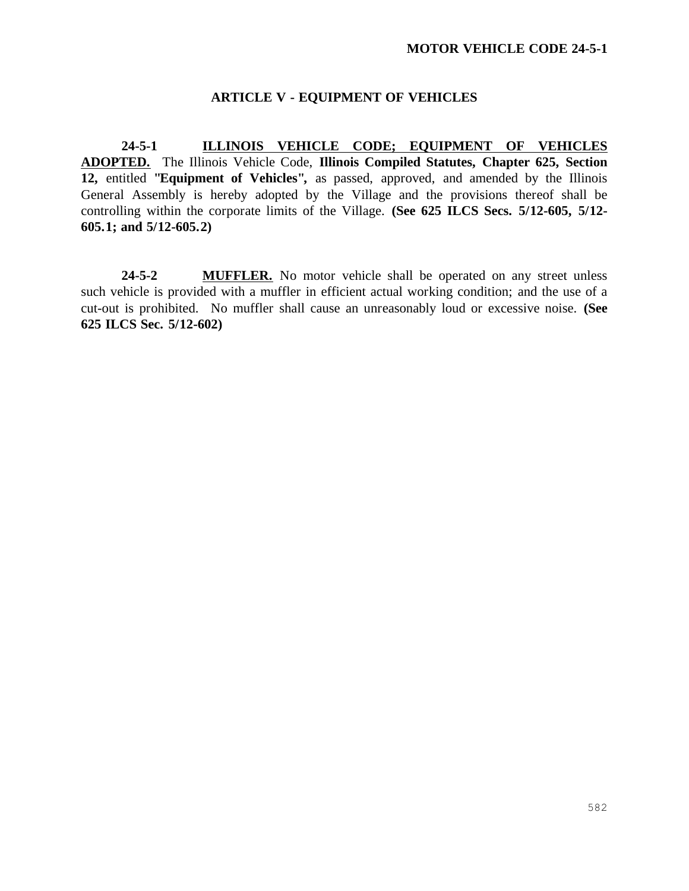# **ARTICLE V - EQUIPMENT OF VEHICLES**

**24-5-1 ILLINOIS VEHICLE CODE; EQUIPMENT OF VEHICLES ADOPTED.** The Illinois Vehicle Code, **Illinois Compiled Statutes, Chapter 625, Section 12,** entitled **"Equipment of Vehicles",** as passed, approved, and amended by the Illinois General Assembly is hereby adopted by the Village and the provisions thereof shall be controlling within the corporate limits of the Village. **(See 625 ILCS Secs. 5/12-605, 5/12- 605.1; and 5/12-605.2)**

**24-5-2 MUFFLER.** No motor vehicle shall be operated on any street unless such vehicle is provided with a muffler in efficient actual working condition; and the use of a cut-out is prohibited. No muffler shall cause an unreasonably loud or excessive noise. **(See 625 ILCS Sec. 5/12-602)**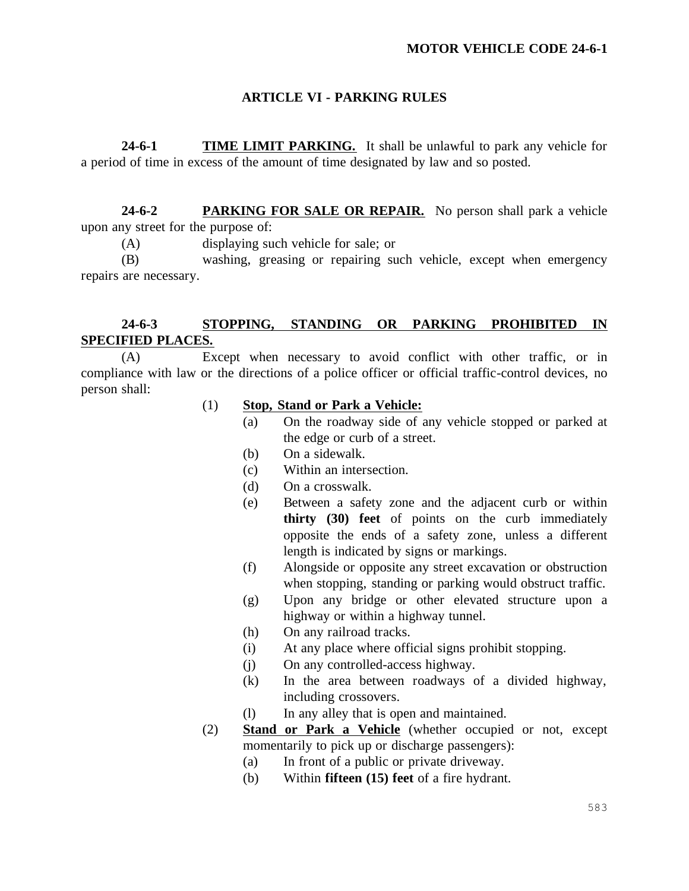# **ARTICLE VI - PARKING RULES**

**24-6-1 TIME LIMIT PARKING.** It shall be unlawful to park any vehicle for a period of time in excess of the amount of time designated by law and so posted.

**24-6-2 PARKING FOR SALE OR REPAIR.** No person shall park a vehicle upon any street for the purpose of:

(A) displaying such vehicle for sale; or

(B) washing, greasing or repairing such vehicle, except when emergency repairs are necessary.

# **24-6-3 STOPPING, STANDING OR PARKING PROHIBITED IN SPECIFIED PLACES.**

(A) Except when necessary to avoid conflict with other traffic, or in compliance with law or the directions of a police officer or official traffic-control devices, no person shall:

- (1) **Stop, Stand or Park a Vehicle:**
	- (a) On the roadway side of any vehicle stopped or parked at the edge or curb of a street.
	- (b) On a sidewalk.
	- (c) Within an intersection.
	- (d) On a crosswalk.
	- (e) Between a safety zone and the adjacent curb or within **thirty (30) feet** of points on the curb immediately opposite the ends of a safety zone, unless a different length is indicated by signs or markings.
	- (f) Alongside or opposite any street excavation or obstruction when stopping, standing or parking would obstruct traffic.
	- (g) Upon any bridge or other elevated structure upon a highway or within a highway tunnel.
	- (h) On any railroad tracks.
	- (i) At any place where official signs prohibit stopping.
	- (j) On any controlled-access highway.
	- (k) In the area between roadways of a divided highway, including crossovers.
	- (l) In any alley that is open and maintained.
- (2) **Stand or Park a Vehicle** (whether occupied or not, except momentarily to pick up or discharge passengers):
	- (a) In front of a public or private driveway.
	- (b) Within **fifteen (15) feet** of a fire hydrant.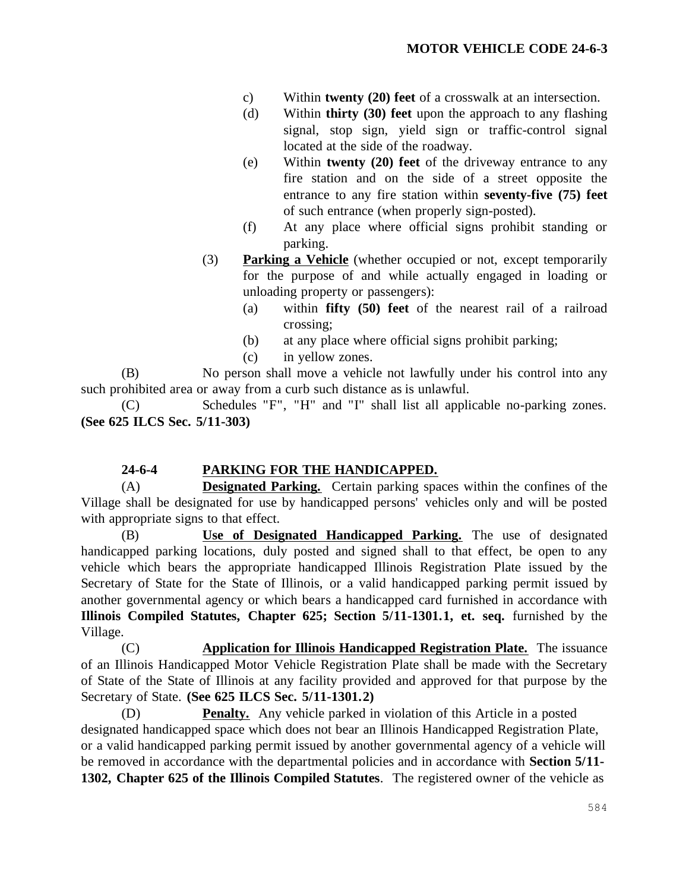- c) Within **twenty (20) feet** of a crosswalk at an intersection.
- (d) Within **thirty (30) feet** upon the approach to any flashing signal, stop sign, yield sign or traffic-control signal located at the side of the roadway.
- (e) Within **twenty (20) feet** of the driveway entrance to any fire station and on the side of a street opposite the entrance to any fire station within **seventy-five (75) feet**  of such entrance (when properly sign-posted).
- (f) At any place where official signs prohibit standing or parking.
- (3) **Parking a Vehicle** (whether occupied or not, except temporarily for the purpose of and while actually engaged in loading or unloading property or passengers):
	- (a) within **fifty (50) feet** of the nearest rail of a railroad crossing;
	- (b) at any place where official signs prohibit parking;
	- (c) in yellow zones.

(B) No person shall move a vehicle not lawfully under his control into any such prohibited area or away from a curb such distance as is unlawful.

(C) Schedules "F", "H" and "I" shall list all applicable no-parking zones. **(See 625 ILCS Sec. 5/11-303)**

# **24-6-4 PARKING FOR THE HANDICAPPED.**

(A) **Designated Parking.** Certain parking spaces within the confines of the Village shall be designated for use by handicapped persons' vehicles only and will be posted with appropriate signs to that effect.

(B) **Use of Designated Handicapped Parking.** The use of designated handicapped parking locations, duly posted and signed shall to that effect, be open to any vehicle which bears the appropriate handicapped Illinois Registration Plate issued by the Secretary of State for the State of Illinois, or a valid handicapped parking permit issued by another governmental agency or which bears a handicapped card furnished in accordance with **Illinois Compiled Statutes, Chapter 625; Section 5/11-1301.1, et. seq.** furnished by the Village.

(C) **Application for Illinois Handicapped Registration Plate.** The issuance of an Illinois Handicapped Motor Vehicle Registration Plate shall be made with the Secretary of State of the State of Illinois at any facility provided and approved for that purpose by the Secretary of State. **(See 625 ILCS Sec. 5/11-1301.2)**

(D) **Penalty.** Any vehicle parked in violation of this Article in a posted designated handicapped space which does not bear an Illinois Handicapped Registration Plate, or a valid handicapped parking permit issued by another governmental agency of a vehicle will be removed in accordance with the departmental policies and in accordance with **Section 5/11- 1302, Chapter 625 of the Illinois Compiled Statutes**. The registered owner of the vehicle as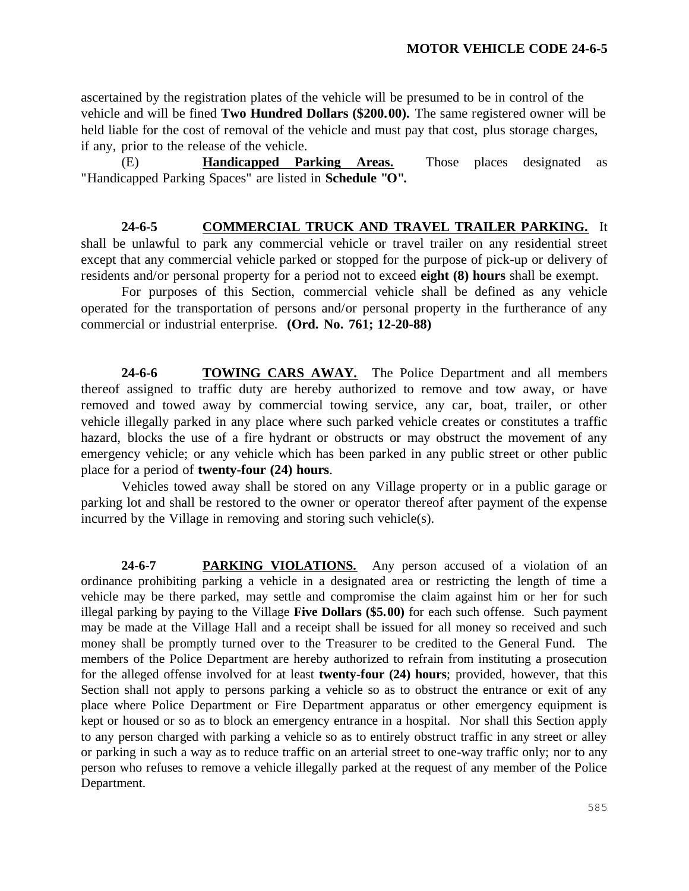ascertained by the registration plates of the vehicle will be presumed to be in control of the vehicle and will be fined **Two Hundred Dollars (\$200.00).** The same registered owner will be held liable for the cost of removal of the vehicle and must pay that cost, plus storage charges, if any, prior to the release of the vehicle.

(E) **Handicapped Parking Areas.** Those places designated as "Handicapped Parking Spaces" are listed in **Schedule "O".**

**24-6-5 COMMERCIAL TRUCK AND TRAVEL TRAILER PARKING.** It shall be unlawful to park any commercial vehicle or travel trailer on any residential street except that any commercial vehicle parked or stopped for the purpose of pick-up or delivery of residents and/or personal property for a period not to exceed **eight (8) hours** shall be exempt.

For purposes of this Section, commercial vehicle shall be defined as any vehicle operated for the transportation of persons and/or personal property in the furtherance of any commercial or industrial enterprise. **(Ord. No. 761; 12-20-88)**

**24-6-6 TOWING CARS AWAY.** The Police Department and all members thereof assigned to traffic duty are hereby authorized to remove and tow away, or have removed and towed away by commercial towing service, any car, boat, trailer, or other vehicle illegally parked in any place where such parked vehicle creates or constitutes a traffic hazard, blocks the use of a fire hydrant or obstructs or may obstruct the movement of any emergency vehicle; or any vehicle which has been parked in any public street or other public place for a period of **twenty-four (24) hours**.

Vehicles towed away shall be stored on any Village property or in a public garage or parking lot and shall be restored to the owner or operator thereof after payment of the expense incurred by the Village in removing and storing such vehicle(s).

**24-6-7 PARKING VIOLATIONS.** Any person accused of a violation of an ordinance prohibiting parking a vehicle in a designated area or restricting the length of time a vehicle may be there parked, may settle and compromise the claim against him or her for such illegal parking by paying to the Village **Five Dollars (\$5.00)** for each such offense. Such payment may be made at the Village Hall and a receipt shall be issued for all money so received and such money shall be promptly turned over to the Treasurer to be credited to the General Fund. The members of the Police Department are hereby authorized to refrain from instituting a prosecution for the alleged offense involved for at least **twenty-four (24) hours**; provided, however, that this Section shall not apply to persons parking a vehicle so as to obstruct the entrance or exit of any place where Police Department or Fire Department apparatus or other emergency equipment is kept or housed or so as to block an emergency entrance in a hospital. Nor shall this Section apply to any person charged with parking a vehicle so as to entirely obstruct traffic in any street or alley or parking in such a way as to reduce traffic on an arterial street to one-way traffic only; nor to any person who refuses to remove a vehicle illegally parked at the request of any member of the Police Department.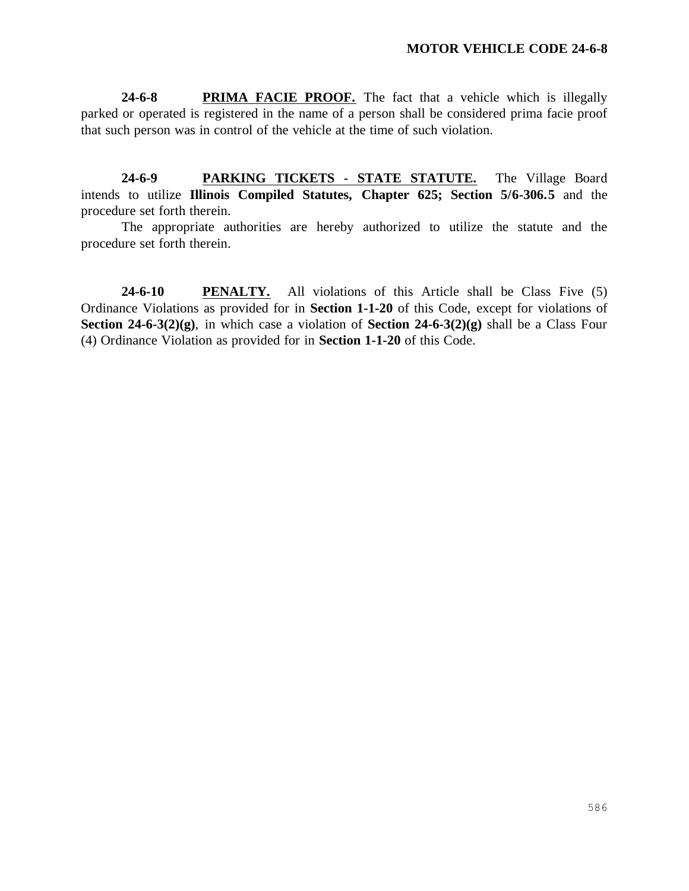**24-6-8 PRIMA FACIE PROOF.** The fact that a vehicle which is illegally parked or operated is registered in the name of a person shall be considered prima facie proof that such person was in control of the vehicle at the time of such violation.

**24-6-9 PARKING TICKETS - STATE STATUTE.** The Village Board intends to utilize **Illinois Compiled Statutes, Chapter 625; Section 5/6-306.5** and the procedure set forth therein.

The appropriate authorities are hereby authorized to utilize the statute and the procedure set forth therein.

**24-6-10 PENALTY.** All violations of this Article shall be Class Five (5) Ordinance Violations as provided for in **Section 1-1-20** of this Code, except for violations of **Section 24-6-3(2)(g)**, in which case a violation of **Section 24-6-3(2)(g)** shall be a Class Four (4) Ordinance Violation as provided for in **Section 1-1-20** of this Code.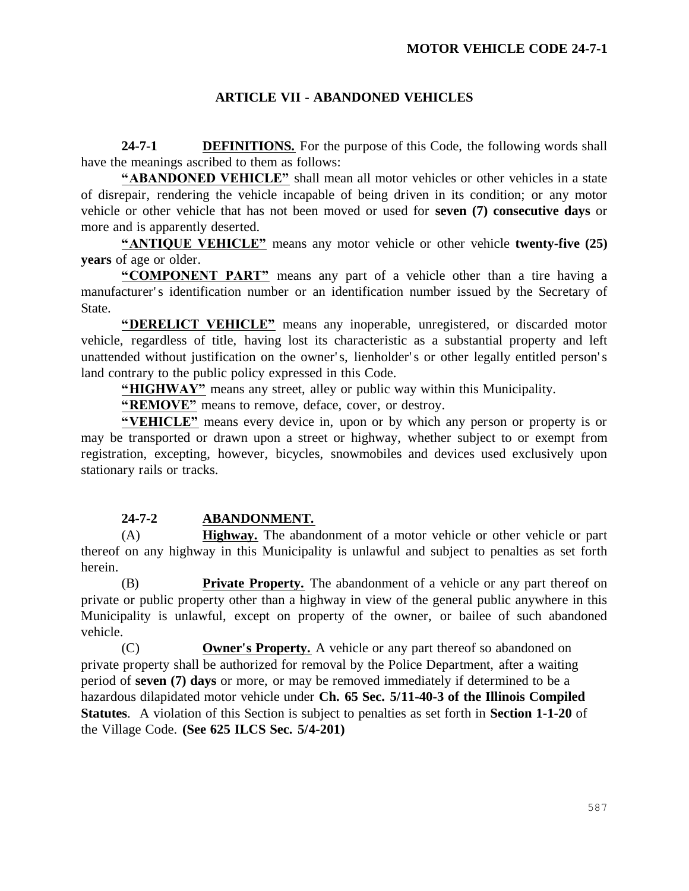# **ARTICLE VII - ABANDONED VEHICLES**

**24-7-1 DEFINITIONS.** For the purpose of this Code, the following words shall have the meanings ascribed to them as follows:

**"ABANDONED VEHICLE"** shall mean all motor vehicles or other vehicles in a state of disrepair, rendering the vehicle incapable of being driven in its condition; or any motor vehicle or other vehicle that has not been moved or used for **seven (7) consecutive days** or more and is apparently deserted.

**"ANTIQUE VEHICLE"** means any motor vehicle or other vehicle **twenty-five (25) years** of age or older.

**"COMPONENT PART"** means any part of a vehicle other than a tire having a manufacturer's identification number or an identification number issued by the Secretary of State.

**"DERELICT VEHICLE"** means any inoperable, unregistered, or discarded motor vehicle, regardless of title, having lost its characteristic as a substantial property and left unattended without justification on the owner's, lienholder's or other legally entitled person's land contrary to the public policy expressed in this Code.

**"HIGHWAY"** means any street, alley or public way within this Municipality.

**"REMOVE"** means to remove, deface, cover, or destroy.

**"VEHICLE"** means every device in, upon or by which any person or property is or may be transported or drawn upon a street or highway, whether subject to or exempt from registration, excepting, however, bicycles, snowmobiles and devices used exclusively upon stationary rails or tracks.

# **24-7-2 ABANDONMENT.**

(A) **Highway.** The abandonment of a motor vehicle or other vehicle or part thereof on any highway in this Municipality is unlawful and subject to penalties as set forth herein.

(B) **Private Property.** The abandonment of a vehicle or any part thereof on private or public property other than a highway in view of the general public anywhere in this Municipality is unlawful, except on property of the owner, or bailee of such abandoned vehicle.

(C) **Owner's Property.** A vehicle or any part thereof so abandoned on private property shall be authorized for removal by the Police Department, after a waiting period of **seven (7) days** or more, or may be removed immediately if determined to be a hazardous dilapidated motor vehicle under **Ch. 65 Sec. 5/11-40-3 of the Illinois Compiled Statutes**. A violation of this Section is subject to penalties as set forth in **Section 1-1-20** of the Village Code. **(See 625 ILCS Sec. 5/4-201)**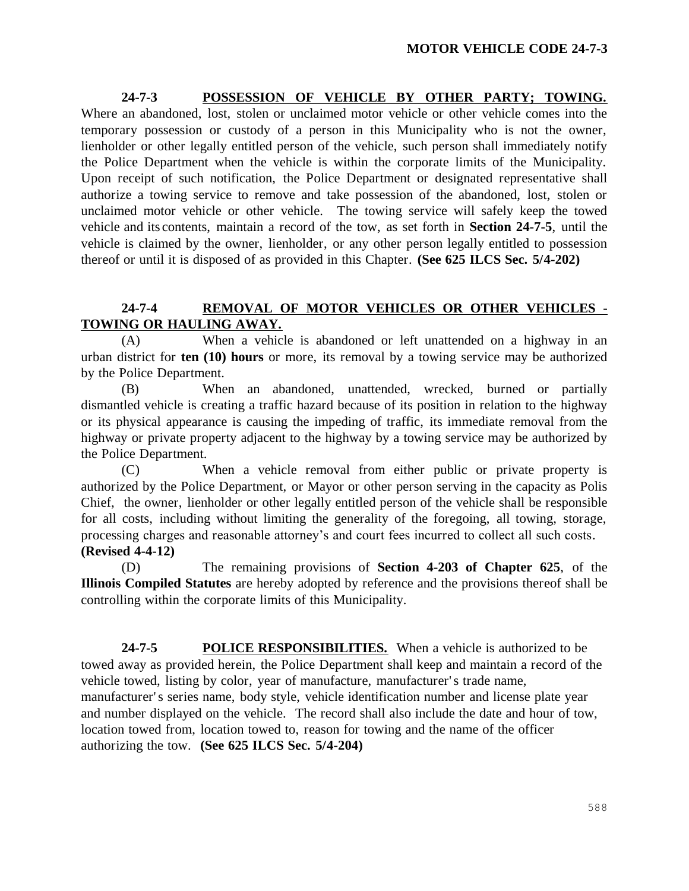**24-7-3 POSSESSION OF VEHICLE BY OTHER PARTY; TOWING.**  Where an abandoned, lost, stolen or unclaimed motor vehicle or other vehicle comes into the temporary possession or custody of a person in this Municipality who is not the owner, lienholder or other legally entitled person of the vehicle, such person shall immediately notify the Police Department when the vehicle is within the corporate limits of the Municipality. Upon receipt of such notification, the Police Department or designated representative shall authorize a towing service to remove and take possession of the abandoned, lost, stolen or unclaimed motor vehicle or other vehicle. The towing service will safely keep the towed vehicle and its contents, maintain a record of the tow, as set forth in **Section 24-7-5**, until the vehicle is claimed by the owner, lienholder, or any other person legally entitled to possession thereof or until it is disposed of as provided in this Chapter. **(See 625 ILCS Sec. 5/4-202)**

# **24-7-4 REMOVAL OF MOTOR VEHICLES OR OTHER VEHICLES - TOWING OR HAULING AWAY.**

(A) When a vehicle is abandoned or left unattended on a highway in an urban district for **ten (10) hours** or more, its removal by a towing service may be authorized by the Police Department.

(B) When an abandoned, unattended, wrecked, burned or partially dismantled vehicle is creating a traffic hazard because of its position in relation to the highway or its physical appearance is causing the impeding of traffic, its immediate removal from the highway or private property adjacent to the highway by a towing service may be authorized by the Police Department.

(C) When a vehicle removal from either public or private property is authorized by the Police Department, or Mayor or other person serving in the capacity as Polis Chief, the owner, lienholder or other legally entitled person of the vehicle shall be responsible for all costs, including without limiting the generality of the foregoing, all towing, storage, processing charges and reasonable attorney's and court fees incurred to collect all such costs. **(Revised 4-4-12)**

(D) The remaining provisions of **Section 4-203 of Chapter 625**, of the **Illinois Compiled Statutes** are hereby adopted by reference and the provisions thereof shall be controlling within the corporate limits of this Municipality.

**24-7-5 POLICE RESPONSIBILITIES.** When a vehicle is authorized to be towed away as provided herein, the Police Department shall keep and maintain a record of the vehicle towed, listing by color, year of manufacture, manufacturer' s trade name, manufacturer's series name, body style, vehicle identification number and license plate year and number displayed on the vehicle. The record shall also include the date and hour of tow, location towed from, location towed to, reason for towing and the name of the officer authorizing the tow. **(See 625 ILCS Sec. 5/4-204)**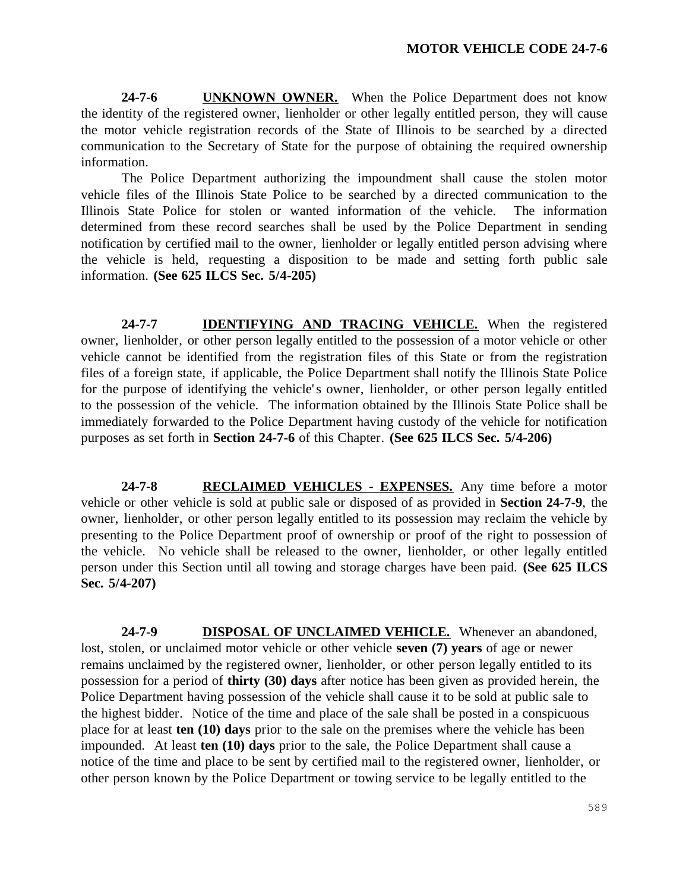24-7-6 **UNKNOWN OWNER.** When the Police Department does not know the identity of the registered owner, lienholder or other legally entitled person, they will cause the motor vehicle registration records of the State of Illinois to be searched by a directed communication to the Secretary of State for the purpose of obtaining the required ownership information.

The Police Department authorizing the impoundment shall cause the stolen motor vehicle files of the Illinois State Police to be searched by a directed communication to the Illinois State Police for stolen or wanted information of the vehicle. The information determined from these record searches shall be used by the Police Department in sending notification by certified mail to the owner, lienholder or legally entitled person advising where the vehicle is held, requesting a disposition to be made and setting forth public sale information. **(See 625 ILCS Sec. 5/4-205)**

24-7-7 **IDENTIFYING AND TRACING VEHICLE.** When the registered owner, lienholder, or other person legally entitled to the possession of a motor vehicle or other vehicle cannot be identified from the registration files of this State or from the registration files of a foreign state, if applicable, the Police Department shall notify the Illinois State Police for the purpose of identifying the vehicle's owner, lienholder, or other person legally entitled to the possession of the vehicle. The information obtained by the Illinois State Police shall be immediately forwarded to the Police Department having custody of the vehicle for notification purposes as set forth in **Section 24-7-6** of this Chapter. **(See 625 ILCS Sec. 5/4-206)**

**24-7-8 RECLAIMED VEHICLES - EXPENSES.** Any time before a motor vehicle or other vehicle is sold at public sale or disposed of as provided in **Section 24-7-9**, the owner, lienholder, or other person legally entitled to its possession may reclaim the vehicle by presenting to the Police Department proof of ownership or proof of the right to possession of the vehicle. No vehicle shall be released to the owner, lienholder, or other legally entitled person under this Section until all towing and storage charges have been paid. **(See 625 ILCS Sec. 5/4-207)**

**24-7-9 DISPOSAL OF UNCLAIMED VEHICLE.** Whenever an abandoned, lost, stolen, or unclaimed motor vehicle or other vehicle **seven (7) years** of age or newer remains unclaimed by the registered owner, lienholder, or other person legally entitled to its possession for a period of **thirty (30) days** after notice has been given as provided herein, the Police Department having possession of the vehicle shall cause it to be sold at public sale to the highest bidder. Notice of the time and place of the sale shall be posted in a conspicuous place for at least **ten (10) days** prior to the sale on the premises where the vehicle has been impounded. At least **ten (10) days** prior to the sale, the Police Department shall cause a notice of the time and place to be sent by certified mail to the registered owner, lienholder, or other person known by the Police Department or towing service to be legally entitled to the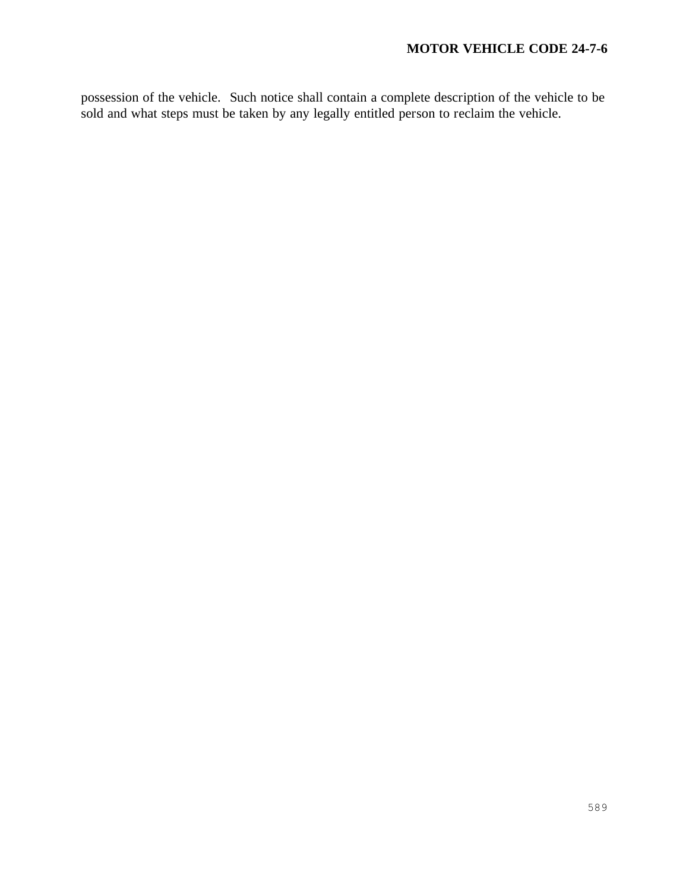possession of the vehicle. Such notice shall contain a complete description of the vehicle to be sold and what steps must be taken by any legally entitled person to reclaim the vehicle.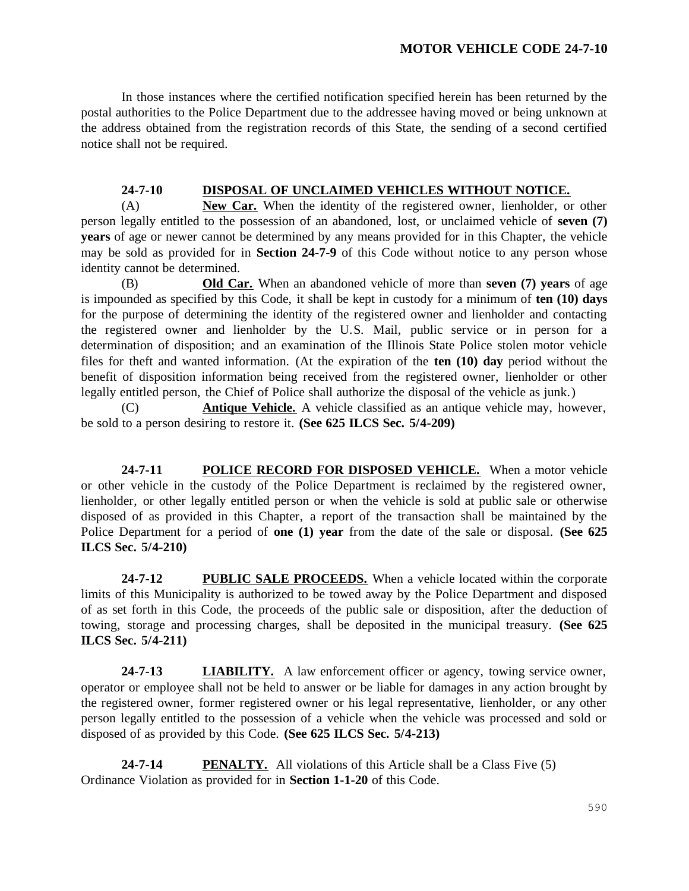In those instances where the certified notification specified herein has been returned by the postal authorities to the Police Department due to the addressee having moved or being unknown at the address obtained from the registration records of this State, the sending of a second certified notice shall not be required.

### **24-7-10 DISPOSAL OF UNCLAIMED VEHICLES WITHOUT NOTICE.**

(A) **New Car.** When the identity of the registered owner, lienholder, or other person legally entitled to the possession of an abandoned, lost, or unclaimed vehicle of **seven (7) years** of age or newer cannot be determined by any means provided for in this Chapter, the vehicle may be sold as provided for in **Section 24-7-9** of this Code without notice to any person whose identity cannot be determined.

(B) **Old Car.** When an abandoned vehicle of more than **seven (7) years** of age is impounded as specified by this Code, it shall be kept in custody for a minimum of **ten (10) days** for the purpose of determining the identity of the registered owner and lienholder and contacting the registered owner and lienholder by the U.S. Mail, public service or in person for a determination of disposition; and an examination of the Illinois State Police stolen motor vehicle files for theft and wanted information. (At the expiration of the **ten (10) day** period without the benefit of disposition information being received from the registered owner, lienholder or other legally entitled person, the Chief of Police shall authorize the disposal of the vehicle as junk.)

(C) **Antique Vehicle.** A vehicle classified as an antique vehicle may, however, be sold to a person desiring to restore it. **(See 625 ILCS Sec. 5/4-209)**

**24-7-11 POLICE RECORD FOR DISPOSED VEHICLE.** When a motor vehicle or other vehicle in the custody of the Police Department is reclaimed by the registered owner, lienholder, or other legally entitled person or when the vehicle is sold at public sale or otherwise disposed of as provided in this Chapter, a report of the transaction shall be maintained by the Police Department for a period of **one (1) year** from the date of the sale or disposal. **(See 625 ILCS Sec. 5/4-210)**

**24-7-12 PUBLIC SALE PROCEEDS.** When a vehicle located within the corporate limits of this Municipality is authorized to be towed away by the Police Department and disposed of as set forth in this Code, the proceeds of the public sale or disposition, after the deduction of towing, storage and processing charges, shall be deposited in the municipal treasury. **(See 625 ILCS Sec. 5/4-211)**

**24-7-13 LIABILITY.** A law enforcement officer or agency, towing service owner, operator or employee shall not be held to answer or be liable for damages in any action brought by the registered owner, former registered owner or his legal representative, lienholder, or any other person legally entitled to the possession of a vehicle when the vehicle was processed and sold or disposed of as provided by this Code. **(See 625 ILCS Sec. 5/4-213)**

**24-7-14 PENALTY.** All violations of this Article shall be a Class Five (5) Ordinance Violation as provided for in **Section 1-1-20** of this Code.